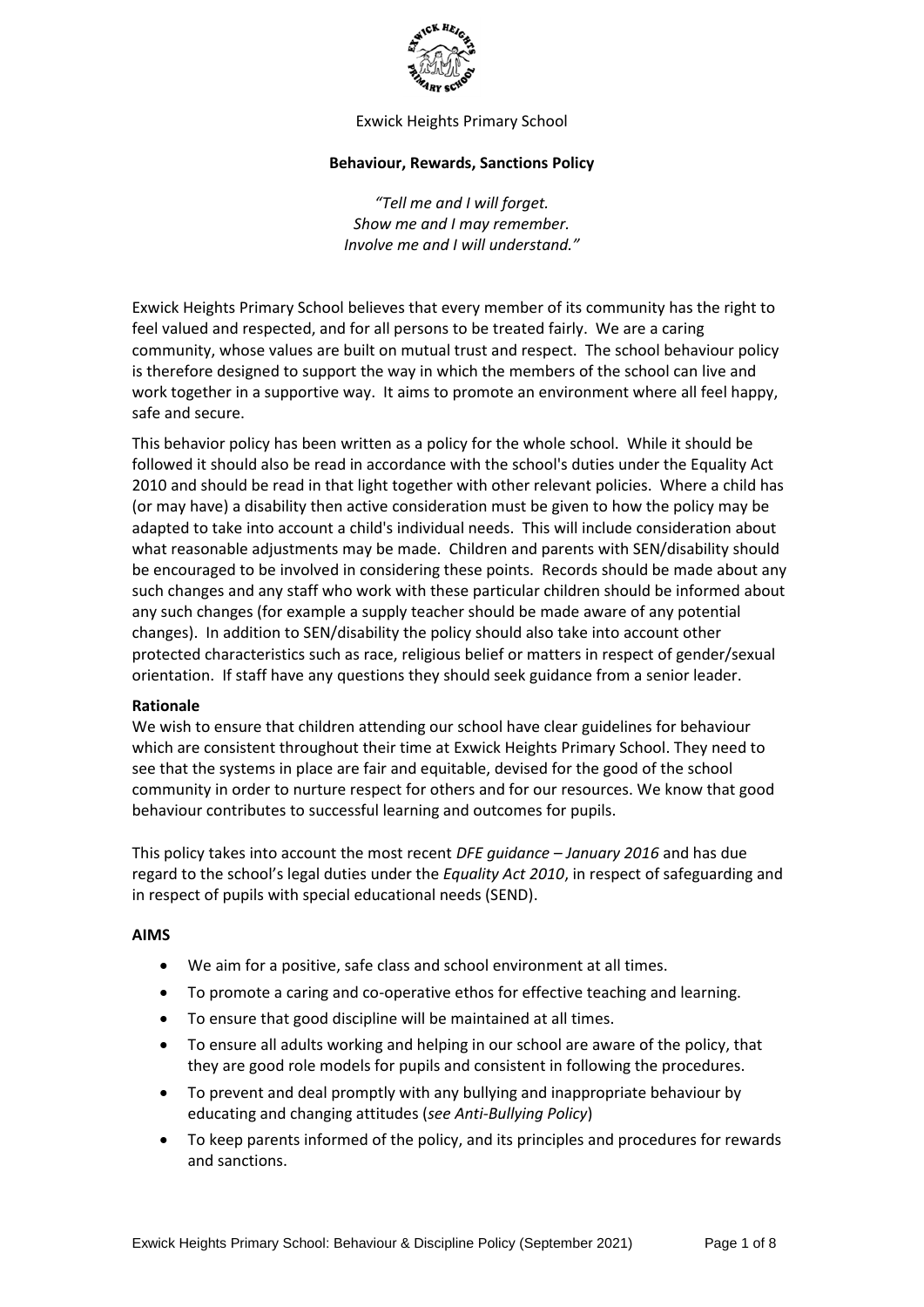

Exwick Heights Primary School

#### **Behaviour, Rewards, Sanctions Policy**

*"Tell me and I will forget. Show me and I may remember. Involve me and I will understand."*

Exwick Heights Primary School believes that every member of its community has the right to feel valued and respected, and for all persons to be treated fairly. We are a caring community, whose values are built on mutual trust and respect. The school behaviour policy is therefore designed to support the way in which the members of the school can live and work together in a supportive way. It aims to promote an environment where all feel happy, safe and secure.

This behavior policy has been written as a policy for the whole school. While it should be followed it should also be read in accordance with the school's duties under the Equality Act 2010 and should be read in that light together with other relevant policies. Where a child has (or may have) a disability then active consideration must be given to how the policy may be adapted to take into account a child's individual needs. This will include consideration about what reasonable adjustments may be made. Children and parents with SEN/disability should be encouraged to be involved in considering these points. Records should be made about any such changes and any staff who work with these particular children should be informed about any such changes (for example a supply teacher should be made aware of any potential changes). In addition to SEN/disability the policy should also take into account other protected characteristics such as race, religious belief or matters in respect of gender/sexual orientation. If staff have any questions they should seek guidance from a senior leader.

## **Rationale**

We wish to ensure that children attending our school have clear guidelines for behaviour which are consistent throughout their time at Exwick Heights Primary School. They need to see that the systems in place are fair and equitable, devised for the good of the school community in order to nurture respect for others and for our resources. We know that good behaviour contributes to successful learning and outcomes for pupils.

This policy takes into account the most recent *DFE guidance – January 2016* and has due regard to the school's legal duties under the *Equality Act 2010*, in respect of safeguarding and in respect of pupils with special educational needs (SEND).

## **AIMS**

- We aim for a positive, safe class and school environment at all times.
- To promote a caring and co-operative ethos for effective teaching and learning.
- To ensure that good discipline will be maintained at all times.
- To ensure all adults working and helping in our school are aware of the policy, that they are good role models for pupils and consistent in following the procedures.
- To prevent and deal promptly with any bullying and inappropriate behaviour by educating and changing attitudes (*see Anti-Bullying Policy*)
- To keep parents informed of the policy, and its principles and procedures for rewards and sanctions.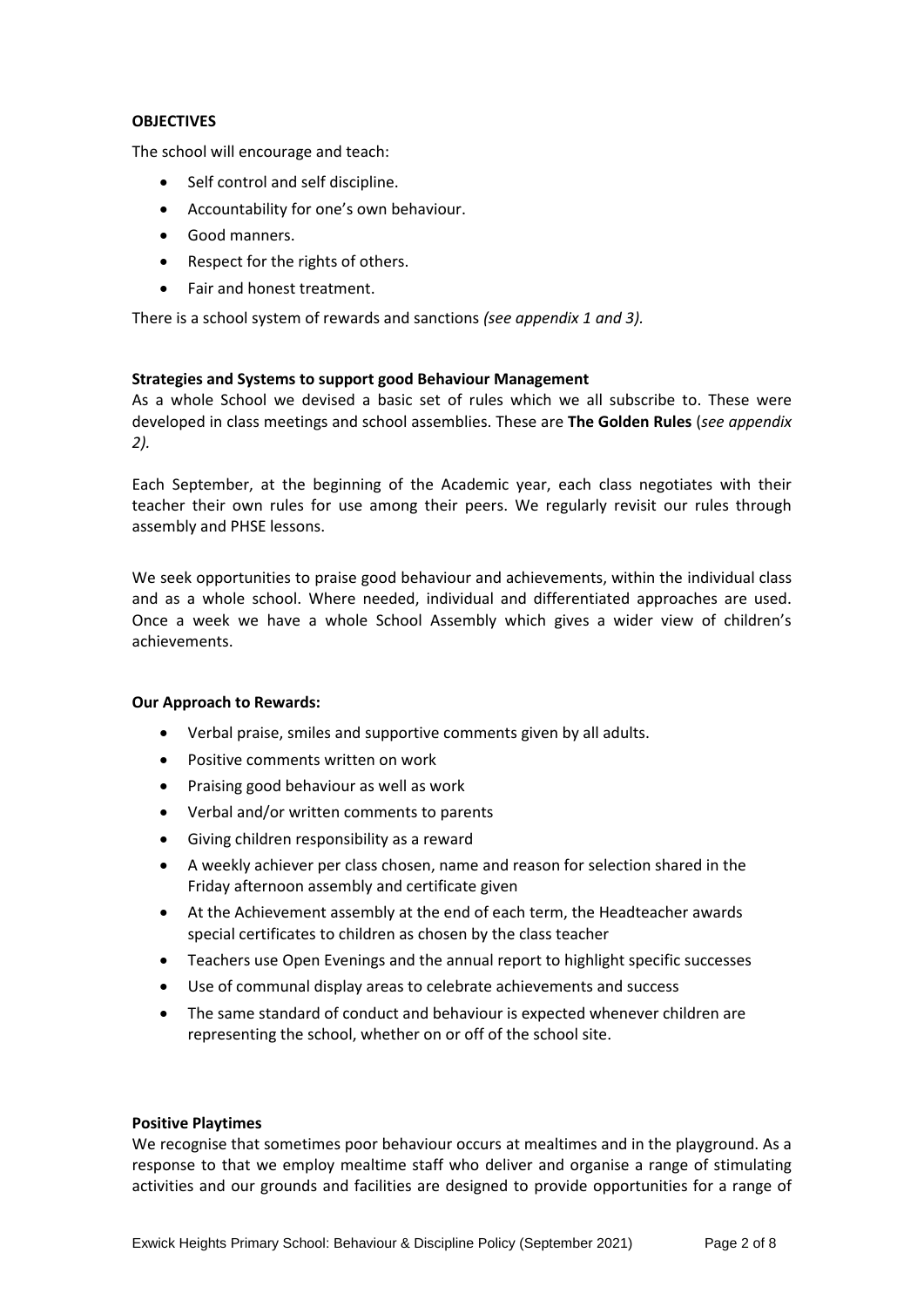## **OBJECTIVES**

The school will encourage and teach:

- Self control and self discipline.
- Accountability for one's own behaviour.
- Good manners.
- Respect for the rights of others.
- Fair and honest treatment.

There is a school system of rewards and sanctions *(see appendix 1 and 3).*

#### **Strategies and Systems to support good Behaviour Management**

As a whole School we devised a basic set of rules which we all subscribe to. These were developed in class meetings and school assemblies. These are **The Golden Rules** (*see appendix 2).*

Each September, at the beginning of the Academic year, each class negotiates with their teacher their own rules for use among their peers. We regularly revisit our rules through assembly and PHSE lessons.

We seek opportunities to praise good behaviour and achievements, within the individual class and as a whole school. Where needed, individual and differentiated approaches are used. Once a week we have a whole School Assembly which gives a wider view of children's achievements.

#### **Our Approach to Rewards:**

- Verbal praise, smiles and supportive comments given by all adults.
- Positive comments written on work
- Praising good behaviour as well as work
- Verbal and/or written comments to parents
- Giving children responsibility as a reward
- A weekly achiever per class chosen, name and reason for selection shared in the Friday afternoon assembly and certificate given
- At the Achievement assembly at the end of each term, the Headteacher awards special certificates to children as chosen by the class teacher
- Teachers use Open Evenings and the annual report to highlight specific successes
- Use of communal display areas to celebrate achievements and success
- The same standard of conduct and behaviour is expected whenever children are representing the school, whether on or off of the school site.

#### **Positive Playtimes**

We recognise that sometimes poor behaviour occurs at mealtimes and in the playground. As a response to that we employ mealtime staff who deliver and organise a range of stimulating activities and our grounds and facilities are designed to provide opportunities for a range of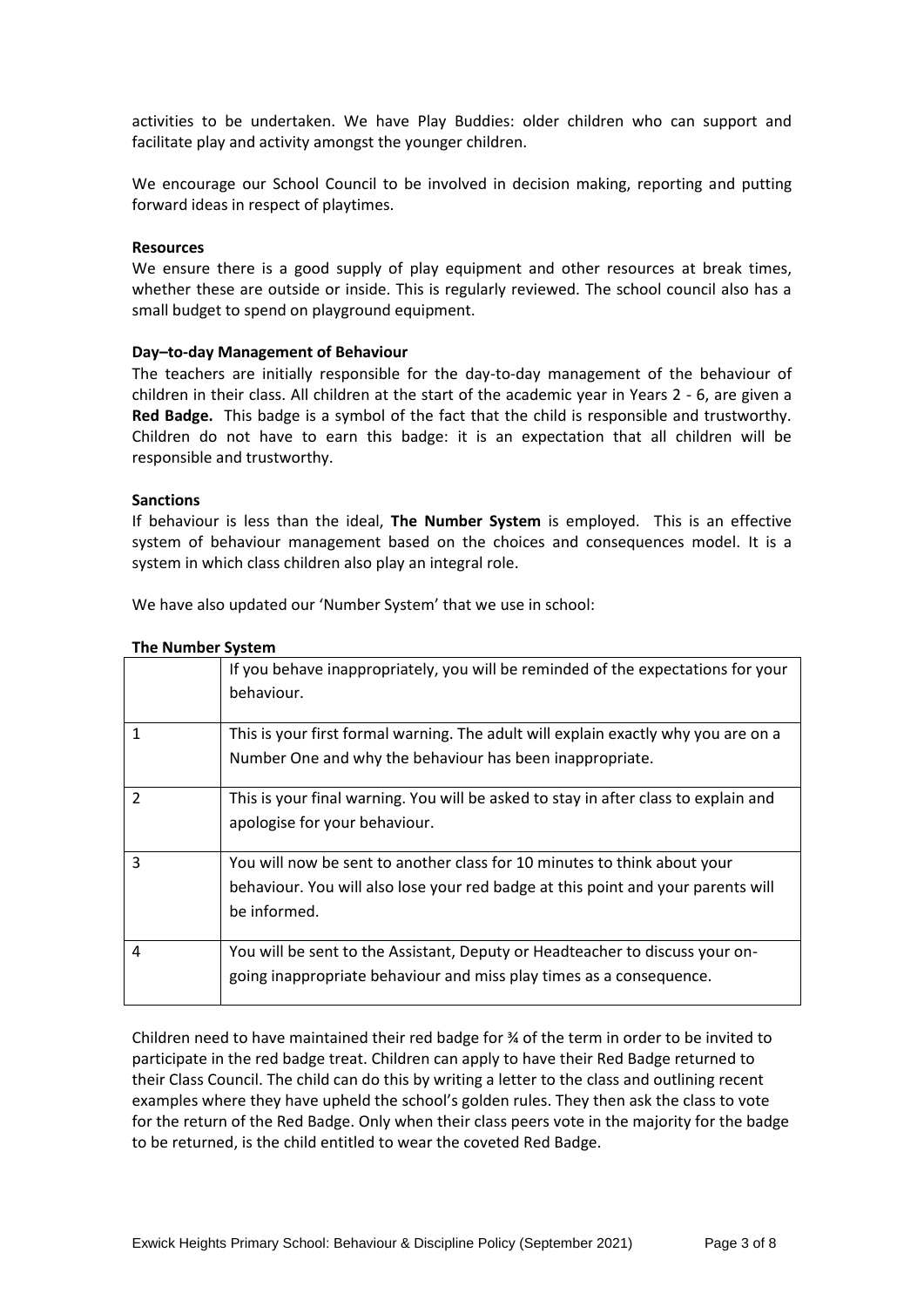activities to be undertaken. We have Play Buddies: older children who can support and facilitate play and activity amongst the younger children.

We encourage our School Council to be involved in decision making, reporting and putting forward ideas in respect of playtimes.

#### **Resources**

We ensure there is a good supply of play equipment and other resources at break times, whether these are outside or inside. This is regularly reviewed. The school council also has a small budget to spend on playground equipment.

#### **Day–to-day Management of Behaviour**

The teachers are initially responsible for the day-to-day management of the behaviour of children in their class. All children at the start of the academic year in Years 2 - 6, are given a **Red Badge.** This badge is a symbol of the fact that the child is responsible and trustworthy. Children do not have to earn this badge: it is an expectation that all children will be responsible and trustworthy.

#### **Sanctions**

If behaviour is less than the ideal, **The Number System** is employed. This is an effective system of behaviour management based on the choices and consequences model. It is a system in which class children also play an integral role.

We have also updated our 'Number System' that we use in school:

| <b>The Number System</b> |  |
|--------------------------|--|
|--------------------------|--|

|                | If you behave inappropriately, you will be reminded of the expectations for your<br>behaviour.                                                                               |
|----------------|------------------------------------------------------------------------------------------------------------------------------------------------------------------------------|
| 1              | This is your first formal warning. The adult will explain exactly why you are on a<br>Number One and why the behaviour has been inappropriate.                               |
| $\mathfrak{p}$ | This is your final warning. You will be asked to stay in after class to explain and<br>apologise for your behaviour.                                                         |
| 3              | You will now be sent to another class for 10 minutes to think about your<br>behaviour. You will also lose your red badge at this point and your parents will<br>be informed. |
| 4              | You will be sent to the Assistant, Deputy or Headteacher to discuss your on-<br>going inappropriate behaviour and miss play times as a consequence.                          |

Children need to have maintained their red badge for ¾ of the term in order to be invited to participate in the red badge treat. Children can apply to have their Red Badge returned to their Class Council. The child can do this by writing a letter to the class and outlining recent examples where they have upheld the school's golden rules. They then ask the class to vote for the return of the Red Badge. Only when their class peers vote in the majority for the badge to be returned, is the child entitled to wear the coveted Red Badge.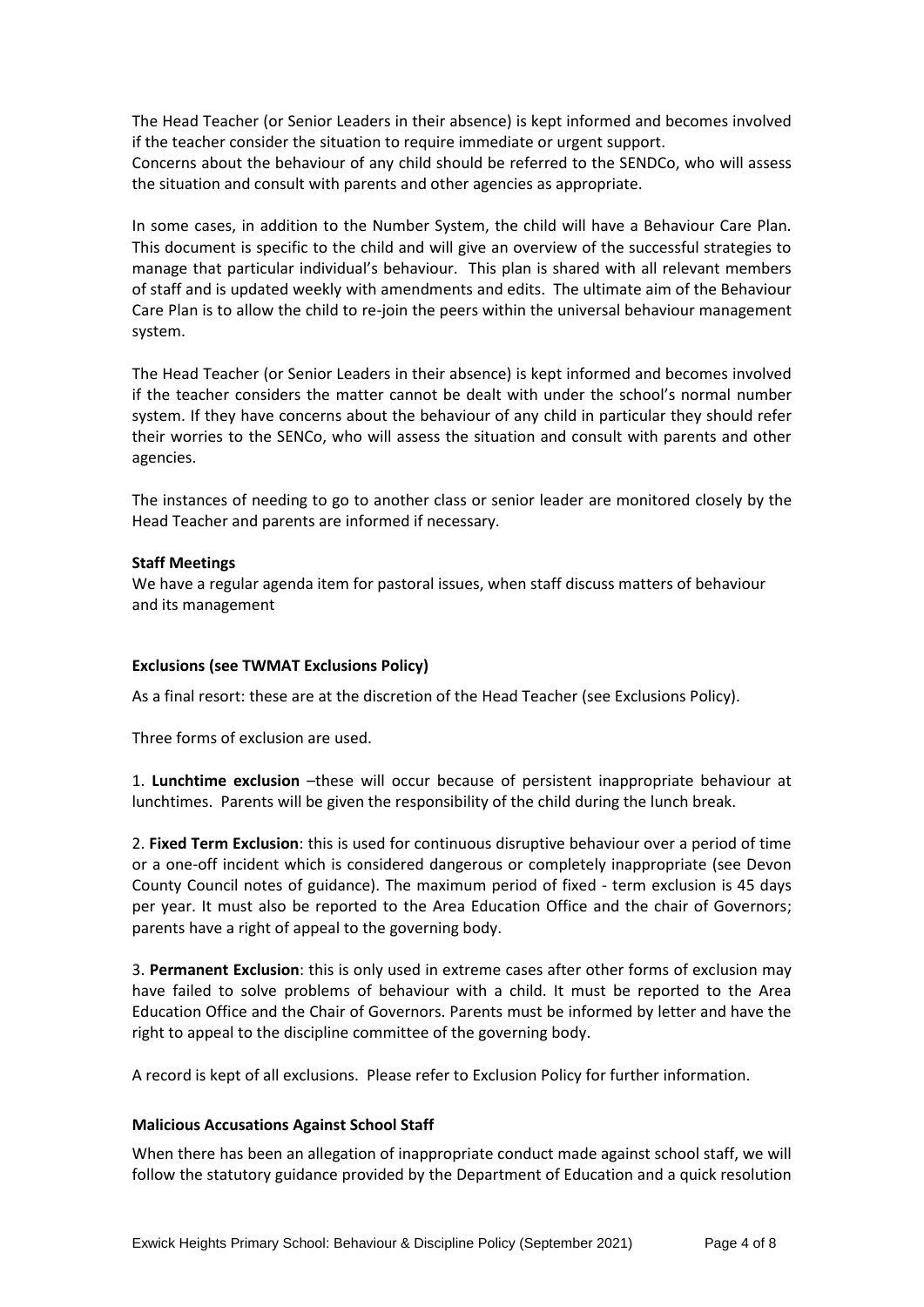The Head Teacher (or Senior Leaders in their absence) is kept informed and becomes involved if the teacher consider the situation to require immediate or urgent support.

Concerns about the behaviour of any child should be referred to the SENDCo, who will assess the situation and consult with parents and other agencies as appropriate.

In some cases, in addition to the Number System, the child will have a Behaviour Care Plan. This document is specific to the child and will give an overview of the successful strategies to manage that particular individual's behaviour. This plan is shared with all relevant members of staff and is updated weekly with amendments and edits. The ultimate aim of the Behaviour Care Plan is to allow the child to re-join the peers within the universal behaviour management system.

The Head Teacher (or Senior Leaders in their absence) is kept informed and becomes involved if the teacher considers the matter cannot be dealt with under the school's normal number system. If they have concerns about the behaviour of any child in particular they should refer their worries to the SENCo, who will assess the situation and consult with parents and other agencies.

The instances of needing to go to another class or senior leader are monitored closely by the Head Teacher and parents are informed if necessary.

## **Staff Meetings**

We have a regular agenda item for pastoral issues, when staff discuss matters of behaviour and its management

## **Exclusions (see TWMAT Exclusions Policy)**

As a final resort: these are at the discretion of the Head Teacher (see Exclusions Policy).

Three forms of exclusion are used.

1. **Lunchtime exclusion** –these will occur because of persistent inappropriate behaviour at lunchtimes. Parents will be given the responsibility of the child during the lunch break.

2. **Fixed Term Exclusion**: this is used for continuous disruptive behaviour over a period of time or a one-off incident which is considered dangerous or completely inappropriate (see Devon County Council notes of guidance). The maximum period of fixed - term exclusion is 45 days per year. It must also be reported to the Area Education Office and the chair of Governors; parents have a right of appeal to the governing body.

3. **Permanent Exclusion**: this is only used in extreme cases after other forms of exclusion may have failed to solve problems of behaviour with a child. It must be reported to the Area Education Office and the Chair of Governors. Parents must be informed by letter and have the right to appeal to the discipline committee of the governing body.

A record is kept of all exclusions. Please refer to Exclusion Policy for further information.

#### **Malicious Accusations Against School Staff**

When there has been an allegation of inappropriate conduct made against school staff, we will follow the statutory guidance provided by the Department of Education and a quick resolution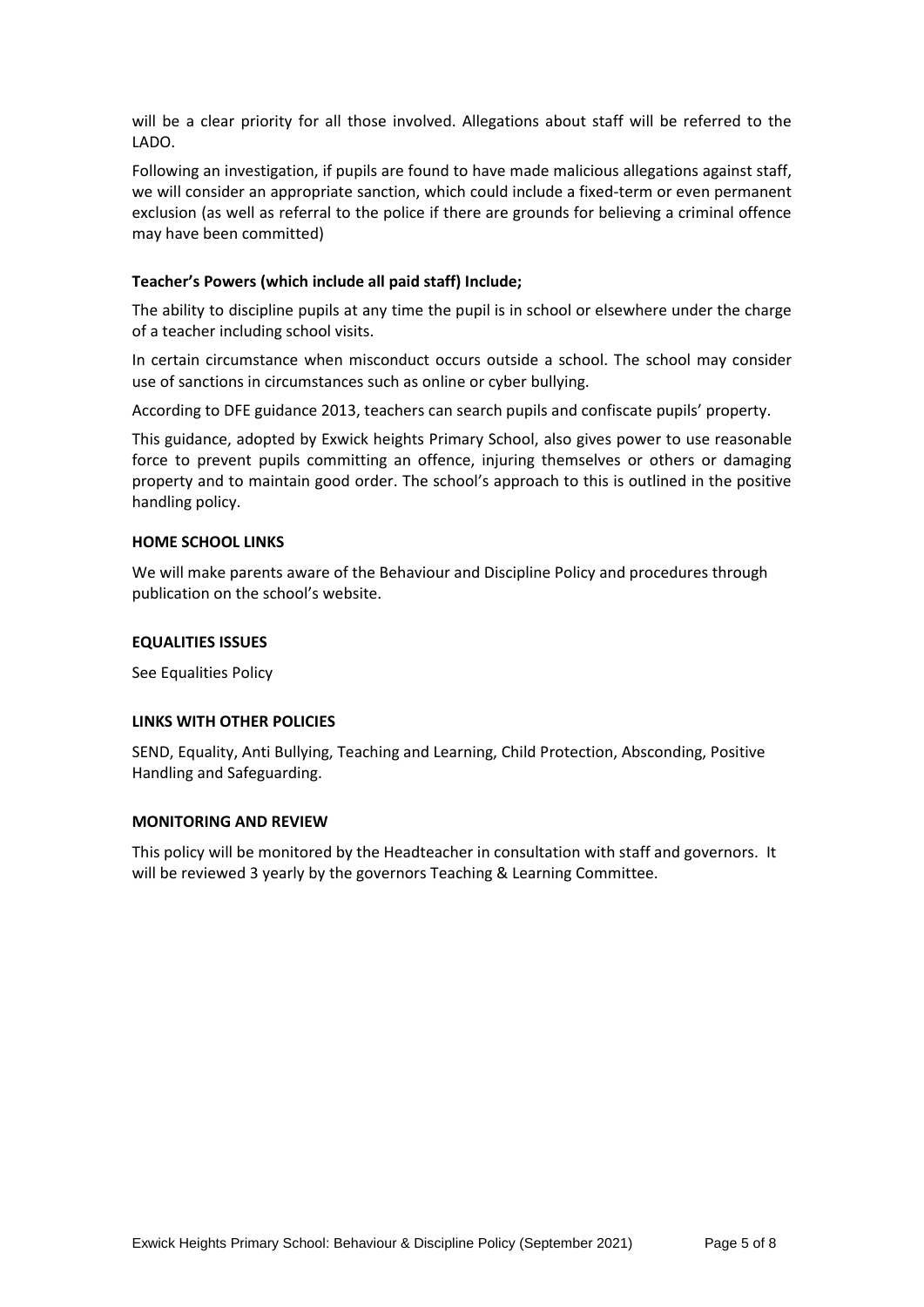will be a clear priority for all those involved. Allegations about staff will be referred to the LADO.

Following an investigation, if pupils are found to have made malicious allegations against staff, we will consider an appropriate sanction, which could include a fixed-term or even permanent exclusion (as well as referral to the police if there are grounds for believing a criminal offence may have been committed)

## **Teacher's Powers (which include all paid staff) Include;**

The ability to discipline pupils at any time the pupil is in school or elsewhere under the charge of a teacher including school visits.

In certain circumstance when misconduct occurs outside a school. The school may consider use of sanctions in circumstances such as online or cyber bullying.

According to DFE guidance 2013, teachers can search pupils and confiscate pupils' property.

This guidance, adopted by Exwick heights Primary School, also gives power to use reasonable force to prevent pupils committing an offence, injuring themselves or others or damaging property and to maintain good order. The school's approach to this is outlined in the positive handling policy.

## **HOME SCHOOL LINKS**

We will make parents aware of the Behaviour and Discipline Policy and procedures through publication on the school's website.

## **EQUALITIES ISSUES**

See Equalities Policy

## **LINKS WITH OTHER POLICIES**

SEND, Equality, Anti Bullying, Teaching and Learning, Child Protection, Absconding, Positive Handling and Safeguarding.

## **MONITORING AND REVIEW**

This policy will be monitored by the Headteacher in consultation with staff and governors. It will be reviewed 3 yearly by the governors Teaching & Learning Committee.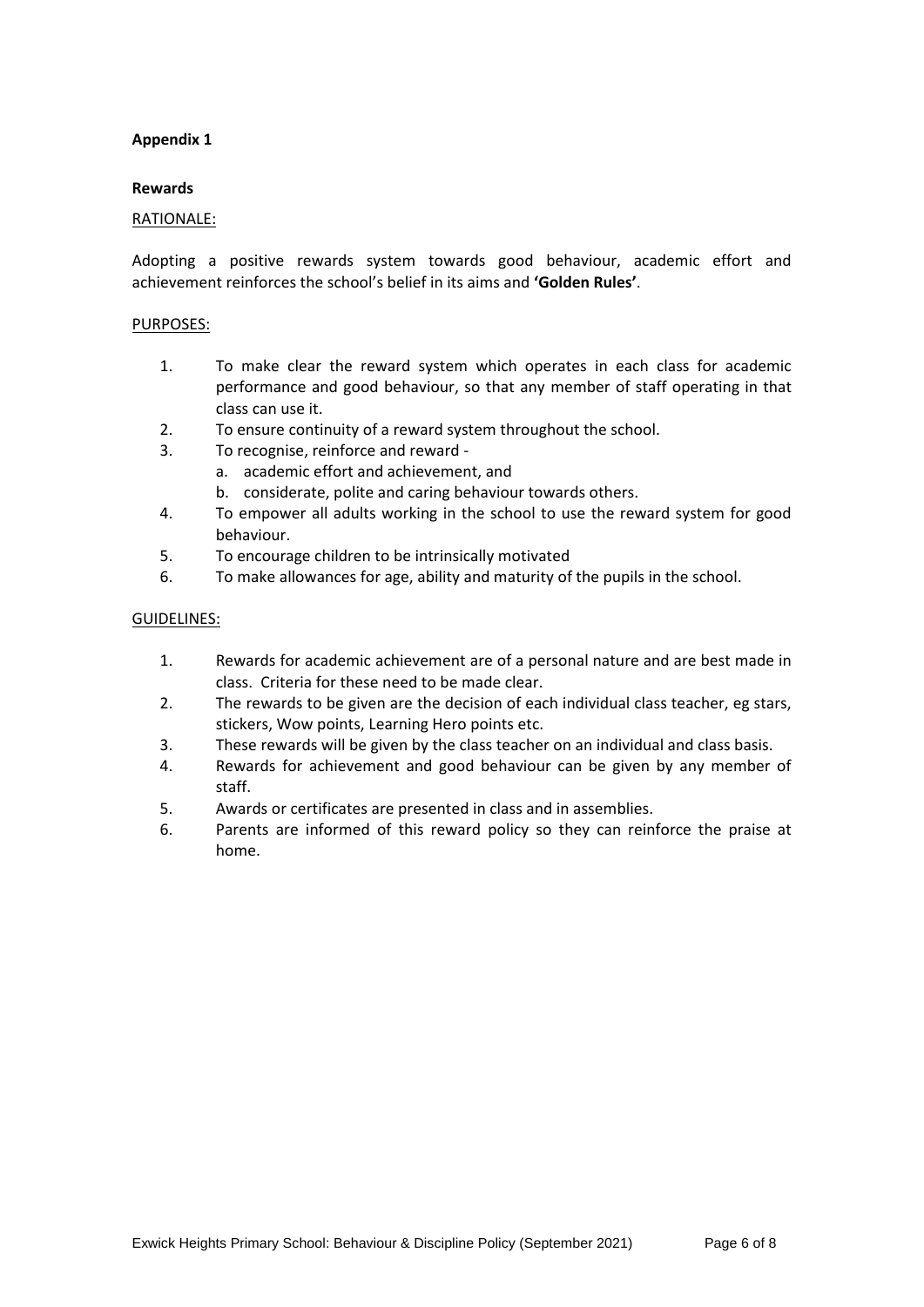## **Appendix 1**

#### **Rewards**

#### RATIONALE:

Adopting a positive rewards system towards good behaviour, academic effort and achievement reinforces the school's belief in its aims and **'Golden Rules'**.

#### PURPOSES:

- 1. To make clear the reward system which operates in each class for academic performance and good behaviour, so that any member of staff operating in that class can use it.
- 2. To ensure continuity of a reward system throughout the school.
- 3. To recognise, reinforce and reward
	- a. academic effort and achievement, and
		- b. considerate, polite and caring behaviour towards others.
- 4. To empower all adults working in the school to use the reward system for good behaviour.
- 5. To encourage children to be intrinsically motivated
- 6. To make allowances for age, ability and maturity of the pupils in the school.

#### GUIDELINES:

- 1. Rewards for academic achievement are of a personal nature and are best made in class. Criteria for these need to be made clear.
- 2. The rewards to be given are the decision of each individual class teacher, eg stars, stickers, Wow points, Learning Hero points etc.
- 3. These rewards will be given by the class teacher on an individual and class basis.
- 4. Rewards for achievement and good behaviour can be given by any member of staff.
- 5. Awards or certificates are presented in class and in assemblies.
- 6. Parents are informed of this reward policy so they can reinforce the praise at home.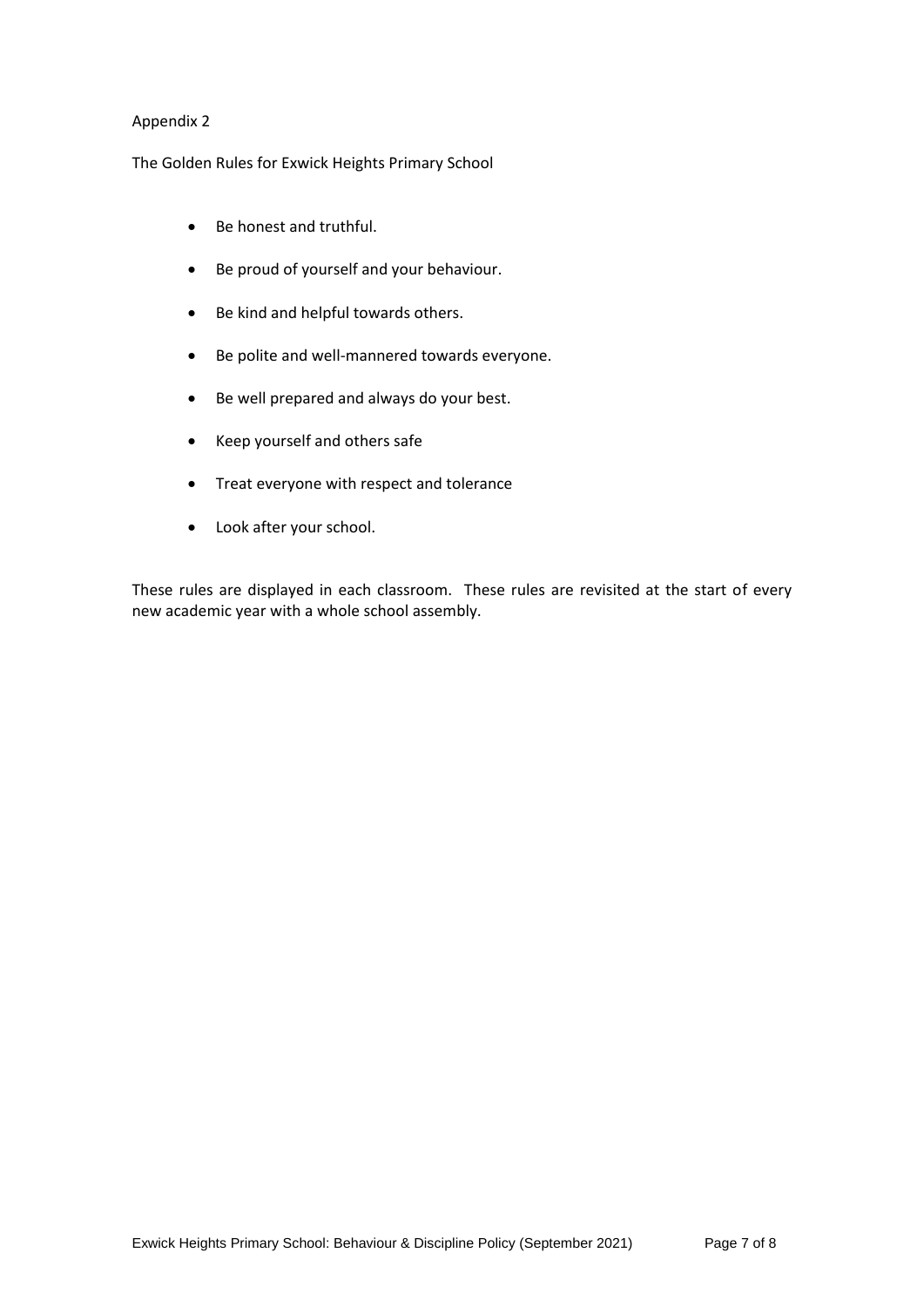## Appendix 2

The Golden Rules for Exwick Heights Primary School

- Be honest and truthful.
- Be proud of yourself and your behaviour.
- Be kind and helpful towards others.
- Be polite and well-mannered towards everyone.
- Be well prepared and always do your best.
- Keep yourself and others safe
- Treat everyone with respect and tolerance
- Look after your school.

These rules are displayed in each classroom. These rules are revisited at the start of every new academic year with a whole school assembly.